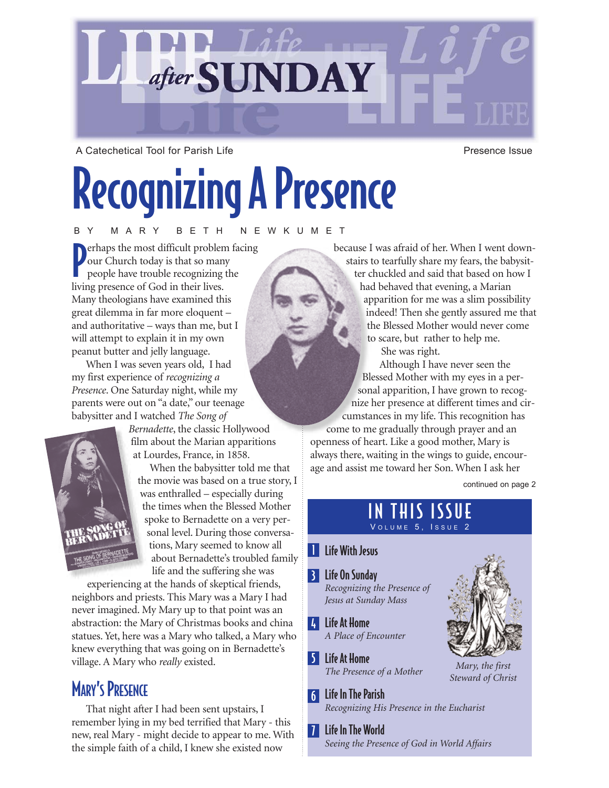

A Catechetical Tool for Parish Life **Presence Issue** Presence Issue

# Recognizing A Presence

BY MARY BETH NEWKUMET

P erhaps the most difficult problem facing our Church today is that so many people have trouble recognizing the living presence of God in their lives. Many theologians have examined this great dilemma in far more eloquent – and authoritative – ways than me, but I will attempt to explain it in my own peanut butter and jelly language.

When I was seven years old, I had my first experience of *recognizing a Presence*. One Saturday night, while my parents were out on "a date," our teenage babysitter and I watched *The Song of*



*Bernadette*, the classic Hollywood film about the Marian apparitions at Lourdes, France, in 1858.

When the babysitter told me that the movie was based on a true story, I was enthralled – especially during the times when the Blessed Mother spoke to Bernadette on a very personal level. During those conversations, Mary seemed to know all about Bernadette's troubled family life and the suffering she was

experiencing at the hands of skeptical friends, neighbors and priests. This Mary was a Mary I had never imagined. My Mary up to that point was an abstraction: the Mary of Christmas books and china statues. Yet, here was a Mary who talked, a Mary who knew everything that was going on in Bernadette's village. A Mary who *really* existed.

### **MARY'S PRESENCE**

That night after I had been sent upstairs, I remember lying in my bed terrified that Mary - this new, real Mary - might decide to appear to me. With the simple faith of a child, I knew she existed now

because I was afraid of her. When I went downstairs to tearfully share my fears, the babysit-

ter chuckled and said that based on how I had behaved that evening, a Marian apparition for me was a slim possibility indeed! Then she gently assured me that the Blessed Mother would never come to scare, but rather to help me.

She was right.

Although I have never seen the Blessed Mother with my eyes in a personal apparition, I have grown to recognize her presence at different times and circumstances in my life. This recognition has

come to me gradually through prayer and an openness of heart. Like a good mother, Mary is always there, waiting in the wings to guide, encourage and assist me toward her Son. When I ask her

continued on page 2

#### IN THIS ISSUE VOLUME 5, ISSUE 2

#### **Life With Jesus**

- Life On Sunday 3 *Recognizing the Presence of Jesus at Sunday Mass*
- 4 Life At Home *A Place of Encounter*
- Life At Home 5 *The Presence of a Mother*
- Life In The Parish 6 *Recognizing His Presence in the Eucharist*
- 7 Life In The World *Seeing the Presence of God in World Affairs*



*Steward of Christ*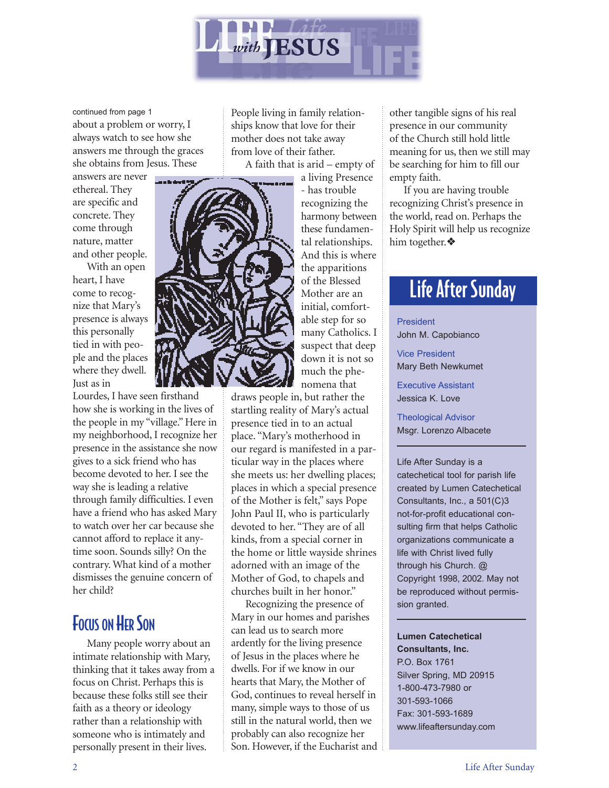

about a problem or worry, I always watch to see how she answers me through the graces she obtains from Jesus. These continued from page 1

answers are never ethereal. They are specific and concrete. They come through nature, matter and other people.

With an open heart, I have come to recognize that Mary's presence is always this personally tied in with people and the places where they dwell. Just as in

Lourdes, I have seen firsthand how she is working in the lives of the people in my "village." Here in my neighborhood, I recognize her presence in the assistance she now gives to a sick friend who has become devoted to her. I see the way she is leading a relative through family difficulties. I even have a friend who has asked Mary to watch over her car because she cannot afford to replace it anytime soon. Sounds silly? On the contrary. What kind of a mother dismisses the genuine concern of her child?

#### **FOCUS ON HER SON**

Many people worry about an intimate relationship with Mary, thinking that it takes away from a focus on Christ. Perhaps this is because these folks still see their faith as a theory or ideology rather than a relationship with someone who is intimately and personally present in their lives.

People living in family relationships know that love for their mother does not take away from love of their father. A faith that is arid – empty of

a living Presence

- has trouble recognizing the harmony between these fundamental relationships. And this is where the apparitions of the Blessed Mother are an initial, comfortable step for so many Catholics. I suspect that deep down it is not so much the phenomena that

draws people in, but rather the startling reality of Mary's actual presence tied in to an actual place. "Mary's motherhood in our regard is manifested in a particular way in the places where she meets us: her dwelling places; places in which a special presence of the Mother is felt," says Pope John Paul II, who is particularly devoted to her. "They are of all kinds, from a special corner in the home or little wayside shrines adorned with an image of the Mother of God, to chapels and churches built in her honor."

Recognizing the presence of Mary in our homes and parishes can lead us to search more ardently for the living presence of Jesus in the places where he dwells. For if we know in our hearts that Mary, the Mother of God, continues to reveal herself in many, simple ways to those of us still in the natural world, then we probably can also recognize her Son. However, if the Eucharist and other tangible signs of his real presence in our community of the Church still hold little meaning for us, then we still may be searching for him to fill our empty faith.

If you are having trouble recognizing Christ's presence in the world, read on. Perhaps the Holy Spirit will help us recognize him together.❖

### Life After Sunday

President John M. Capobianco

Vice President Mary Beth Newkumet

Executive Assistant Jessica K. Love

Theological Advisor Msgr. Lorenzo Albacete

Life After Sunday is a catechetical tool for parish life created by Lumen Catechetical Consultants, Inc., a 501(C)3 not-for-profit educational consulting firm that helps Catholic organizations communicate a life with Christ lived fully through his Church. @ Copyright 1998, 2002. May not be reproduced without permission granted.

#### **Lumen Catechetical Consultants, Inc.** P.O. Box 1761

Silver Spring, MD 20915 1-800-473-7980 or 301-593-1066 Fax: 301-593-1689 www.lifeaftersunday.com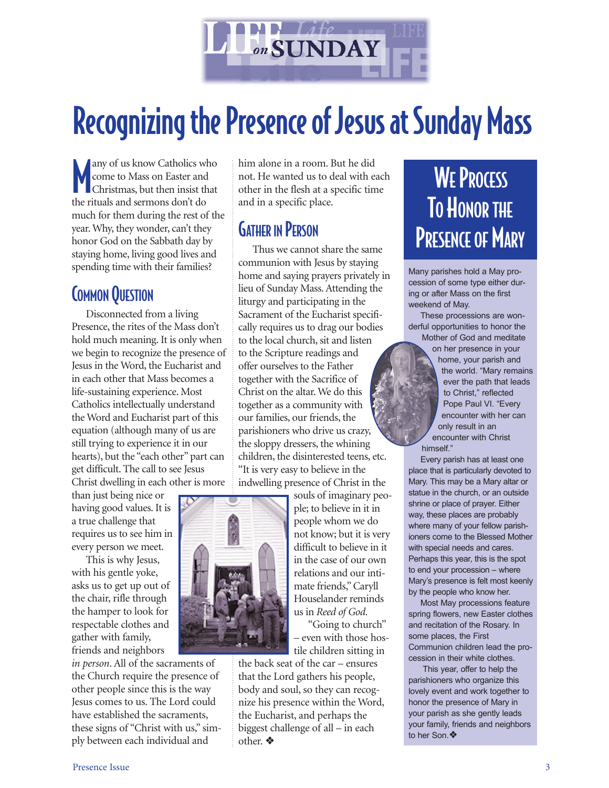

# Recognizing the Presence of Jesus at Sunday Mass

**M** any of us know Catholics w<br>
come to Mass on Easter and<br>
christmas, but then insist the<br>
the rituals and sermons don't do any of us know Catholics who come to Mass on Easter and Christmas, but then insist that much for them during the rest of the year. Why, they wonder, can't they honor God on the Sabbath day by staying home, living good lives and spending time with their families?

#### COMMON QUESTION

Disconnected from a living Presence, the rites of the Mass don't hold much meaning. It is only when we begin to recognize the presence of Jesus in the Word, the Eucharist and in each other that Mass becomes a life-sustaining experience. Most Catholics intellectually understand the Word and Eucharist part of this equation (although many of us are still trying to experience it in our hearts), but the "each other" part can get difficult. The call to see Jesus Christ dwelling in each other is more

than just being nice or having good values. It is a true challenge that requires us to see him in every person we meet.

This is why Jesus, with his gentle yoke, asks us to get up out of the chair, rifle through the hamper to look for respectable clothes and gather with family, friends and neighbors

*in person*. All of the sacraments of the Church require the presence of other people since this is the way Jesus comes to us. The Lord could have established the sacraments, these signs of "Christ with us," simply between each individual and

him alone in a room. But he did not. He wanted us to deal with each other in the flesh at a specific time and in a specific place.

#### GATHER IN PERSON

Thus we cannot share the same communion with Jesus by staying home and saying prayers privately in lieu of Sunday Mass. Attending the liturgy and participating in the Sacrament of the Eucharist specifically requires us to drag our bodies to the local church, sit and listen to the Scripture readings and offer ourselves to the Father together with the Sacrifice of Christ on the altar. We do this together as a community with our families, our friends, the parishioners who drive us crazy, the sloppy dressers, the whining children, the disinterested teens, etc. "It is very easy to believe in the indwelling presence of Christ in the



souls of imaginary people; to believe in it in people whom we do not know; but it is very difficult to believe in it in the case of our own relations and our intimate friends," Caryll Houselander reminds us in *Reed of God*.

"Going to church" – even with those hostile children sitting in

the back seat of the car – ensures that the Lord gathers his people, body and soul, so they can recognize his presence within the Word, the Eucharist, and perhaps the biggest challenge of all – in each other. ❖

# **WE PROCESS** TO HONOR THE **PRESENCE OF MARY**

Many parishes hold a May procession of some type either during or after Mass on the first weekend of May.

These processions are wonderful opportunities to honor the Mother of God and meditate

> on her presence in your home, your parish and the world. "Mary remains ever the path that leads to Christ," reflected Pope Paul VI. "Every encounter with her can only result in an encounter with Christ himself."

Every parish has at least one place that is particularly devoted to Mary. This may be a Mary altar or statue in the church, or an outside shrine or place of prayer. Either way, these places are probably where many of your fellow parishioners come to the Blessed Mother with special needs and cares. Perhaps this year, this is the spot to end your procession – where Mary's presence is felt most keenly by the people who know her.

Most May processions feature spring flowers, new Easter clothes and recitation of the Rosary. In some places, the First Communion children lead the procession in their white clothes.

This year, offer to help the parishioners who organize this lovely event and work together to honor the presence of Mary in your parish as she gently leads your family, friends and neighbors to her Son.❖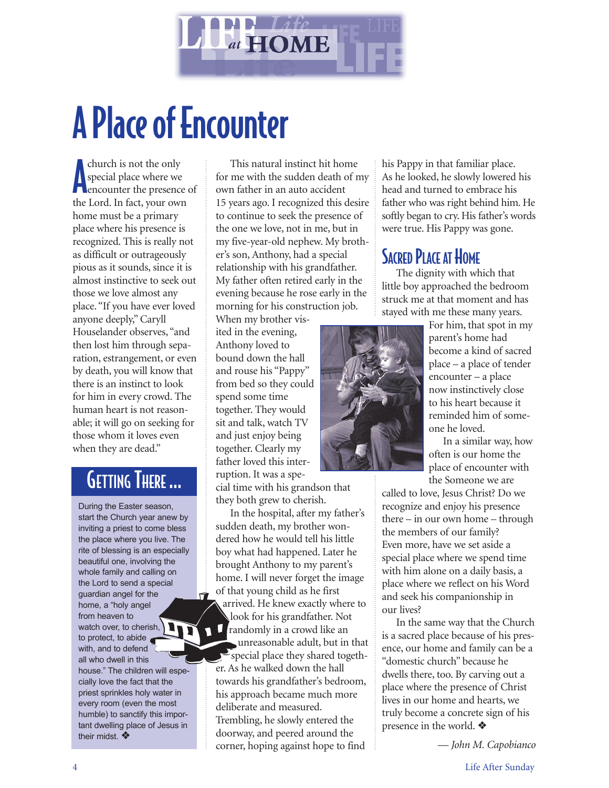

# A Place of Encounter

church is not the only<br>special place where we<br>encounter the presence of church is not the only special place where we the Lord. In fact, your own home must be a primary place where his presence is recognized. This is really not as difficult or outrageously pious as it sounds, since it is almost instinctive to seek out those we love almost any place. "If you have ever loved anyone deeply," Caryll Houselander observes, "and then lost him through separation, estrangement, or even by death, you will know that there is an instinct to look for him in every crowd. The human heart is not reasonable; it will go on seeking for those whom it loves even when they are dead."

### GETTING THERE ...

During the Easter season, start the Church year anew by inviting a priest to come bless the place where you live. The rite of blessing is an especially beautiful one, involving the whole family and calling on the Lord to send a special guardian angel for the home, a "holy angel from heaven to watch over, to cherish, to protect, to abide with, and to defend all who dwell in this house." The children will especially love the fact that the priest sprinkles holy water in every room (even the most humble) to sanctify this important dwelling place of Jesus in their midst. **❖** 

 $\vec{r}$ 

This natural instinct hit home for me with the sudden death of my own father in an auto accident 15 years ago. I recognized this desire to continue to seek the presence of the one we love, not in me, but in my five-year-old nephew. My brother's son, Anthony, had a special relationship with his grandfather. My father often retired early in the evening because he rose early in the morning for his construction job.

When my brother visited in the evening, Anthony loved to bound down the hall and rouse his "Pappy" from bed so they could spend some time together. They would sit and talk, watch TV and just enjoy being together. Clearly my father loved this interruption. It was a spe-

cial time with his grandson that they both grew to cherish.

In the hospital, after my father's sudden death, my brother wondered how he would tell his little boy what had happened. Later he brought Anthony to my parent's home. I will never forget the image of that young child as he first arrived. He knew exactly where to look for his grandfather. Not  $\blacksquare$ randomly in a crowd like an unreasonable adult, but in that special place they shared together. As he walked down the hall towards his grandfather's bedroom, his approach became much more deliberate and measured. Trembling, he slowly entered the doorway, and peered around the corner, hoping against hope to find

his Pappy in that familiar place. As he looked, he slowly lowered his head and turned to embrace his father who was right behind him. He softly began to cry. His father's words were true. His Pappy was gone.

#### **SACRED PLACE AT HOME**

The dignity with which that little boy approached the bedroom struck me at that moment and has stayed with me these many years.



For him, that spot in my parent's home had become a kind of sacred place – a place of tender encounter – a place now instinctively close to his heart because it reminded him of someone he loved.

In a similar way, how often is our home the place of encounter with the Someone we are

called to love, Jesus Christ? Do we recognize and enjoy his presence there – in our own home – through the members of our family? Even more, have we set aside a special place where we spend time with him alone on a daily basis, a place where we reflect on his Word and seek his companionship in our lives?

In the same way that the Church is a sacred place because of his presence, our home and family can be a "domestic church" because he dwells there, too. By carving out a place where the presence of Christ lives in our home and hearts, we truly become a concrete sign of his presence in the world. ❖

— *John M. Capobianco*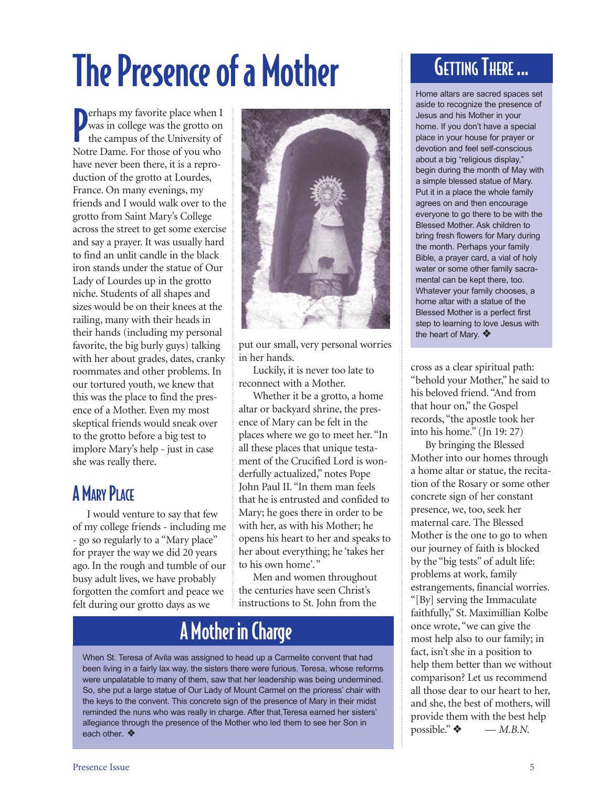# The Presence of a Mother

**P** erhaps my favorite place when I<br>
was in college was the grotto on<br>
the campus of the University of was in college was the grotto on  $\blacksquare$  the campus of the University of Notre Dame. For those of you who have never been there, it is a reproduction of the grotto at Lourdes, France. On many evenings, my friends and I would walk over to the grotto from Saint Mary's College across the street to get some exercise and say a prayer. It was usually hard to find an unlit candle in the black iron stands under the statue of Our Lady of Lourdes up in the grotto niche. Students of all shapes and sizes would be on their knees at the railing, many with their heads in their hands (including my personal favorite, the big burly guys) talking with her about grades, dates, cranky roommates and other problems. In our tortured youth, we knew that this was the place to find the presence of a Mother. Even my most skeptical friends would sneak over to the grotto before a big test to implore Mary's help - just in case she was really there.

### **A MARY PLACE**

I would venture to say that few of my college friends - including me - go so regularly to a "Mary place" for prayer the way we did 20 years ago. In the rough and tumble of our busy adult lives, we have probably forgotten the comfort and peace we felt during our grotto days as we



put our small, very personal worries in her hands.

Luckily, it is never too late to reconnect with a Mother.

Whether it be a grotto, a home altar or backyard shrine, the presence of Mary can be felt in the places where we go to meet her. "In all these places that unique testament of the Crucified Lord is wonderfully actualized," notes Pope John Paul II. "In them man feels that he is entrusted and confided to Mary; he goes there in order to be with her, as with his Mother; he opens his heart to her and speaks to her about everything; he 'takes her to his own home'."

Men and women throughout the centuries have seen Christ's instructions to St. John from the

### A Mother in Charge

When St. Teresa of Avila was assigned to head up a Carmelite convent that had been living in a fairly lax way, the sisters there were furious. Teresa, whose reforms were unpalatable to many of them, saw that her leadership was being undermined. So, she put a large statue of Our Lady of Mount Carmel on the prioress' chair with the keys to the convent. This concrete sign of the presence of Mary in their midst reminded the nuns who was really in charge. After that,Teresa earned her sisters' allegiance through the presence of the Mother who led them to see her Son in each other. ❖

## GETTING THERE ...

Home altars are sacred spaces set aside to recognize the presence of Jesus and his Mother in your home. If you don't have a special place in your house for prayer or devotion and feel self-conscious about a big "religious display," begin during the month of May with a simple blessed statue of Mary. Put it in a place the whole family agrees on and then encourage everyone to go there to be with the Blessed Mother. Ask children to bring fresh flowers for Mary during the month. Perhaps your family Bible, a prayer card, a vial of holy water or some other family sacramental can be kept there, too. Whatever your family chooses, a home altar with a statue of the Blessed Mother is a perfect first step to learning to love Jesus with the heart of Mary. ❖

cross as a clear spiritual path: "behold your Mother," he said to his beloved friend. "And from that hour on," the Gospel records, "the apostle took her into his home." (Jn 19: 27)

By bringing the Blessed Mother into our homes through a home altar or statue, the recitation of the Rosary or some other concrete sign of her constant presence, we, too, seek her maternal care. The Blessed Mother is the one to go to when our journey of faith is blocked by the "big tests" of adult life: problems at work, family estrangements, financial worries. "[By] serving the Immaculate faithfully," St. Maximillian Kolbe once wrote, "we can give the most help also to our family; in fact, isn't she in a position to help them better than we without comparison? Let us recommend all those dear to our heart to her, and she, the best of mothers, will provide them with the best help possible."  $\bullet$  — *M.B.N.*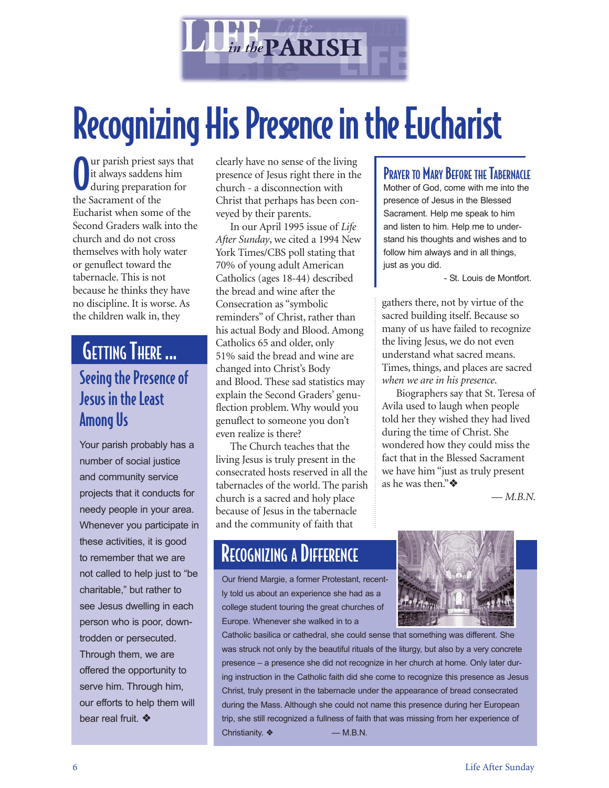

# Recognizing His Presence in the Eucharist

O ur parish priest says that it always saddens him during preparation for the Sacrament of the Eucharist when some of the Second Graders walk into the church and do not cross themselves with holy water or genuflect toward the tabernacle. This is not because he thinks they have no discipline. It is worse. As the children walk in, they

#### Seeing the Presence of Jesus in the Least Among Us GETTING THERE ...

Your parish probably has a number of social justice and community service projects that it conducts for needy people in your area. Whenever you participate in these activities, it is good to remember that we are not called to help just to "be charitable," but rather to see Jesus dwelling in each person who is poor, downtrodden or persecuted. Through them, we are offered the opportunity to serve him. Through him, our efforts to help them will bear real fruit. ❖

clearly have no sense of the living presence of Jesus right there in the church - a disconnection with Christ that perhaps has been conveyed by their parents.

In our April 1995 issue of *Life After Sunday*, we cited a 1994 New York Times/CBS poll stating that 70% of young adult American Catholics (ages 18-44) described the bread and wine after the Consecration as "symbolic reminders" of Christ, rather than his actual Body and Blood. Among Catholics 65 and older, only 51% said the bread and wine are changed into Christ's Body and Blood. These sad statistics may explain the Second Graders' genuflection problem. Why would you genuflect to someone you don't even realize is there?

The Church teaches that the living Jesus is truly present in the consecrated hosts reserved in all the tabernacles of the world. The parish church is a sacred and holy place because of Jesus in the tabernacle and the community of faith that

### **RECOGNIZING A DIFFERENCE**

Our friend Margie, a former Protestant, recently told us about an experience she had as a college student touring the great churches of Europe. Whenever she walked in to a

Catholic basilica or cathedral, she could sense that something was different. She was struck not only by the beautiful rituals of the liturgy, but also by a very concrete presence – a presence she did not recognize in her church at home. Only later during instruction in the Catholic faith did she come to recognize this presence as Jesus Christ, truly present in the tabernacle under the appearance of bread consecrated during the Mass. Although she could not name this presence during her European trip, she still recognized a fullness of faith that was missing from her experience of Christianity.  $\triangleleft$  — M.B.N.

#### PRAYER TO MARY BEFORE THE TABERNACLE

Mother of God, come with me into the presence of Jesus in the Blessed Sacrament. Help me speak to him and listen to him. Help me to understand his thoughts and wishes and to follow him always and in all things, just as you did.

- St. Louis de Montfort.

gathers there, not by virtue of the sacred building itself. Because so many of us have failed to recognize the living Jesus, we do not even understand what sacred means. Times, things, and places are sacred *when we are in his presence*.

Biographers say that St. Teresa of Avila used to laugh when people told her they wished they had lived during the time of Christ. She wondered how they could miss the fact that in the Blessed Sacrament we have him "just as truly present as he was then."❖

— *M.B.N.*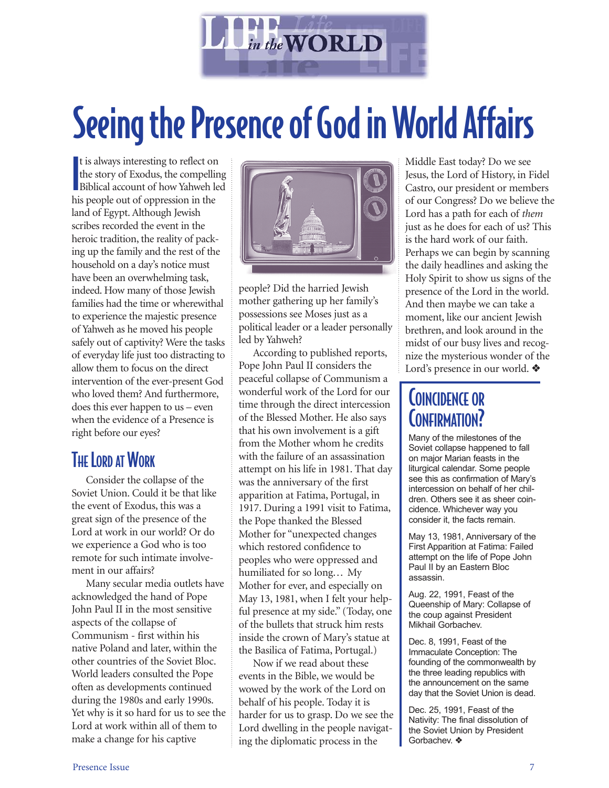

# Seeing the Presence of God in World Affairs

I t is always interesting to reflect on the story of Exodus, the compelling Biblical account of how Yahweh led his people out of oppression in the land of Egypt. Although Jewish scribes recorded the event in the heroic tradition, the reality of packing up the family and the rest of the household on a day's notice must have been an overwhelming task, indeed. How many of those Jewish families had the time or wherewithal to experience the majestic presence of Yahweh as he moved his people safely out of captivity? Were the tasks of everyday life just too distracting to allow them to focus on the direct intervention of the ever-present God who loved them? And furthermore, does this ever happen to us – even when the evidence of a Presence is right before our eyes?

#### THE LORD AT WORK

Consider the collapse of the Soviet Union. Could it be that like the event of Exodus, this was a great sign of the presence of the Lord at work in our world? Or do we experience a God who is too remote for such intimate involvement in our affairs?

Many secular media outlets have acknowledged the hand of Pope John Paul II in the most sensitive aspects of the collapse of Communism - first within his native Poland and later, within the other countries of the Soviet Bloc. World leaders consulted the Pope often as developments continued during the 1980s and early 1990s. Yet why is it so hard for us to see the Lord at work within all of them to make a change for his captive



people? Did the harried Jewish mother gathering up her family's possessions see Moses just as a political leader or a leader personally led by Yahweh?

According to published reports, Pope John Paul II considers the peaceful collapse of Communism a wonderful work of the Lord for our time through the direct intercession of the Blessed Mother. He also says that his own involvement is a gift from the Mother whom he credits with the failure of an assassination attempt on his life in 1981. That day was the anniversary of the first apparition at Fatima, Portugal, in 1917. During a 1991 visit to Fatima, the Pope thanked the Blessed Mother for "unexpected changes which restored confidence to peoples who were oppressed and humiliated for so long... My Mother for ever, and especially on May 13, 1981, when I felt your helpful presence at my side." (Today, one of the bullets that struck him rests inside the crown of Mary's statue at the Basilica of Fatima, Portugal.)

Now if we read about these events in the Bible, we would be wowed by the work of the Lord on behalf of his people. Today it is harder for us to grasp. Do we see the Lord dwelling in the people navigating the diplomatic process in the

Middle East today? Do we see Jesus, the Lord of History, in Fidel Castro, our president or members of our Congress? Do we believe the Lord has a path for each of *them* just as he does for each of us? This is the hard work of our faith. Perhaps we can begin by scanning the daily headlines and asking the Holy Spirit to show us signs of the presence of the Lord in the world. And then maybe we can take a moment, like our ancient Jewish brethren, and look around in the midst of our busy lives and recognize the mysterious wonder of the Lord's presence in our world. ❖

#### COINCIDENCE OR CONFIRMATION?

Many of the milestones of the Soviet collapse happened to fall on major Marian feasts in the liturgical calendar. Some people see this as confirmation of Mary's intercession on behalf of her children. Others see it as sheer coincidence. Whichever way you consider it, the facts remain.

May 13, 1981, Anniversary of the First Apparition at Fatima: Failed attempt on the life of Pope John Paul II by an Eastern Bloc assassin.

Aug. 22, 1991, Feast of the Queenship of Mary: Collapse of the coup against President Mikhail Gorbachev.

Dec. 8, 1991, Feast of the Immaculate Conception: The founding of the commonwealth by the three leading republics with the announcement on the same day that the Soviet Union is dead.

Dec. 25, 1991, Feast of the Nativity: The final dissolution of the Soviet Union by President Gorbachev. ❖